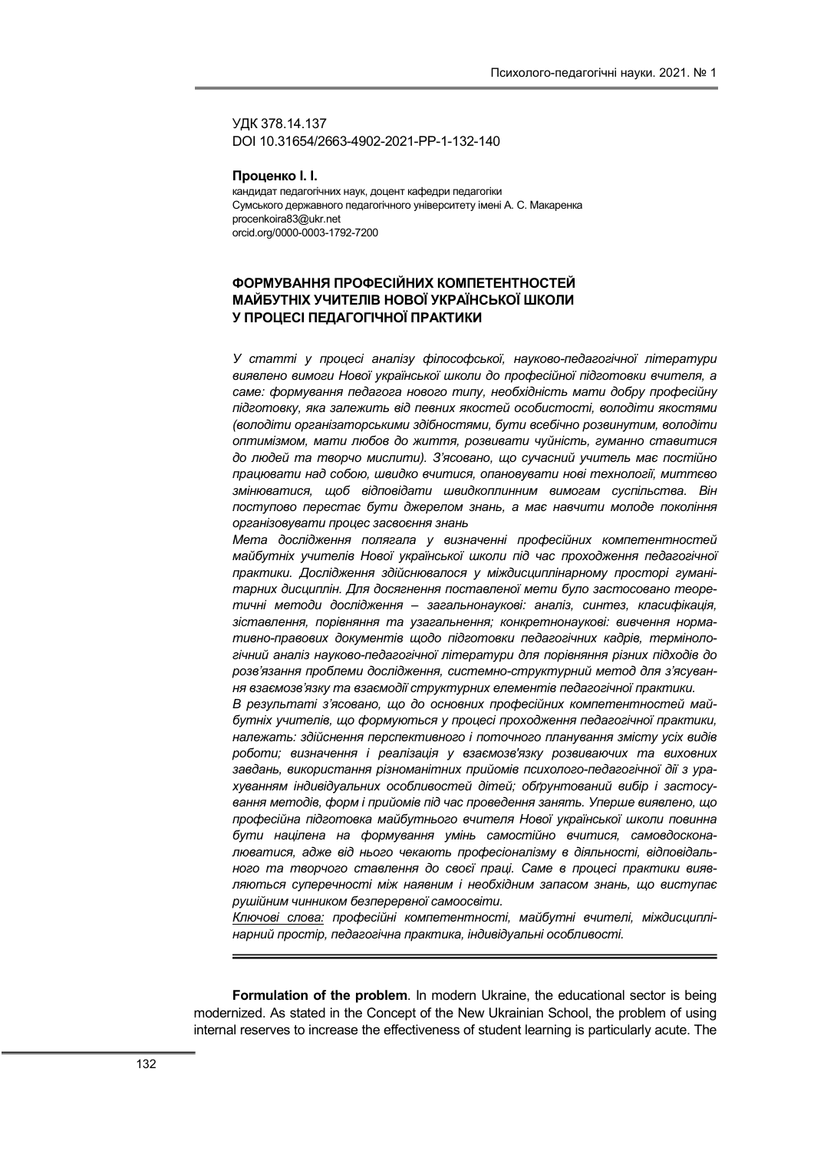УДК 378.14.137 DOI 10.31654/2663-4902-2021-РР-1-132-140

Проценко І. І.

кандидат педагогічних наук, доцент кафедри педагогіки Сумського державного педагогічного університету імені А. С. Макаренка procenkoira83@ukr.net orcid.org/0000-0003-1792-7200

# ФОРМУВАННЯ ПРОФЕСІЙНИХ КОМПЕТЕНТНОСТЕЙ МАЙБУТНІХ УЧИТЕЛІВ НОВОЇ УКРАЇНСЬКОЇ ШКОЛИ У ПРОЦЕСІ ПЕДАГОГІЧНОЇ ПРАКТИКИ

У статті у процесі аналізу філософської, науково-педагогічної літератури виявлено вимоги Нової української школи до професійної підготовки вчителя, а саме: формування педагога нового типу, необхідність мати добру професійну підготовку, яка залежить від певних якостей особистості, володіти якостями (володіти організаторськими здібностями, бути всебічно розвинутим, володіти оптимізмом, мати любов до життя, розвивати чуйність, гуманно ставитися до людей та творчо мислити). З'ясовано, що сучасний учитель має постійно працювати над собою, швидко вчитися, опановувати нові технології, миттєво змінюватися, щоб відповідати швидкоплинним вимогам суспільства. Він поступово перестає бути джерелом знань, а має навчити молоде покоління організовувати процес засвоєння знань

Мета дослідження полягала у визначенні професійних компетентностей майбутніх учителів Нової української школи під час проходження педагогічної практики. Дослідження здійснювалося у міждисциплінарному просторі гуманітарних дисциплін. Для досягнення поставленої мети було застосовано теоретичні методи дослідження – загальнонаукові: аналіз, синтез, класифікація, зіставлення, порівняння та узагальнення; конкретнонаукові: вивчення нормативно-правових документів щодо підготовки педагогічних кадрів, термінологічний аналіз науково-педагогічної літератури для порівняння різних підходів до розв'язання проблеми дослідження, системно-структурний метод для з'ясування взаємозв'язку та взаємодії структурних елементів педагогічної практики.

В результаті з'ясовано, що до основних професійних компетентностей майбутніх учителів, що формуються у процесі проходження педагогічної практики, належать: здійснення перспективного і поточного планування змісту усіх видів роботи; визначення і реалізація у взаємозв'язку розвиваючих та виховних завдань, використання різноманітних прийомів психолого-педагогічної дії з урахуванням індивідуальних особливостей дітей; обґрунтований вибір і застосування методів, форм і прийомів під час проведення занять. Уперше виявлено, що професійна підготовка майбутнього вчителя Нової української школи повинна бути націлена на формування умінь самостійно вчитися, самовдосконалюватися, адже від нього чекають професіоналізму в діяльності, відповідального та творчого ставлення до своєї праці. Саме в процесі практики виявляються суперечності між наявним і необхідним запасом знань, що виступає рушійним чинником безперервної самоосвіти.

Ключові слова: професійні компетентності, майбутні вчителі, міждисциплінарний простір, педагогічна практика, індивідуальні особливості.

Formulation of the problem. In modern Ukraine, the educational sector is being modernized. As stated in the Concept of the New Ukrainian School, the problem of using internal reserves to increase the effectiveness of student learning is particularly acute. The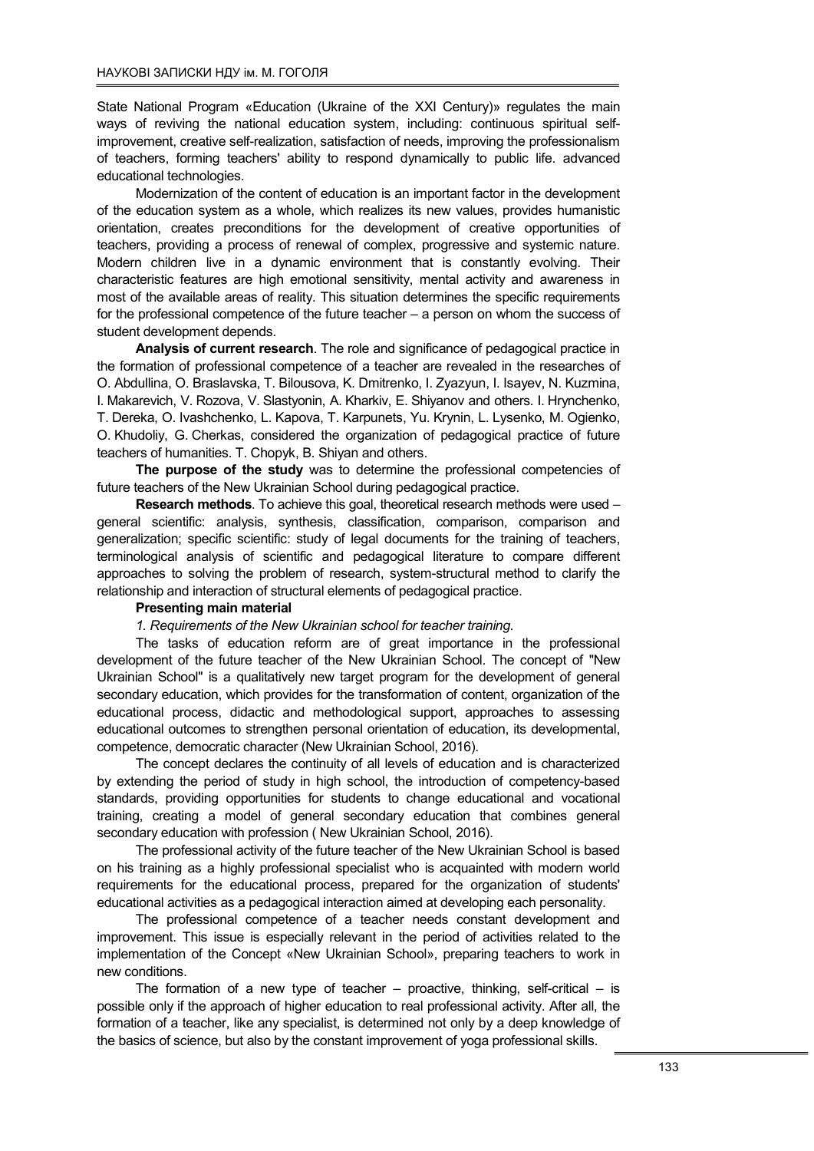State National Program «Education (Ukraine of the XXI Century)» regulates the main ways of reviving the national education system, including: continuous spiritual selfimprovement, creative self-realization, satisfaction of needs, improving the professionalism of teachers, forming teachers' ability to respond dynamically to public life. advanced educational technologies.

Modernization of the content of education is an important factor in the development of the education system as a whole, which realizes its new values, provides humanistic orientation, creates preconditions for the development of creative opportunities of teachers, providing a process of renewal of complex, progressive and systemic nature. Modern children live in a dynamic environment that is constantly evolving. Their characteristic features are high emotional sensitivity, mental activity and awareness in most of the available areas of reality. This situation determines the specific requirements for the professional competence of the future teacher – a person on whom the success of student development depends.

Analysis of current research. The role and significance of pedagogical practice in the formation of professional competence of a teacher are revealed in the researches of O. Abdullina, O. Braslavska, T. Bilousova, K. Dmitrenko, I. Zyazyun, I. Isayev, N. Kuzmina, I. Makarevich, V. Rozova, V. Slastyonin, A. Kharkiv, E. Shiyanov and others. I. Hrynchenko, T. Dereka, O. Ivashchenko, L. Kapova, T. Karpunets, Yu. Krynin, L. Lysenko, M. Ogienko, O. Khudoliy, G. Cherkas, considered the organization of pedagogical practice of future teachers of humanities. Т. Chopyk, B. Shiyan and others.

The purpose of the study was to determine the professional competencies of future teachers of the New Ukrainian School during pedagogical practice.

Research methods. To achieve this goal, theoretical research methods were used – general scientific: analysis, synthesis, classification, comparison, comparison and generalization; specific scientific: study of legal documents for the training of teachers, terminological analysis of scientific and pedagogical literature to compare different approaches to solving the problem of research, system-structural method to clarify the relationship and interaction of structural elements of pedagogical practice.

### Рresenting main material

1. Requirements of the New Ukrainian school for teacher training.

The tasks of education reform are of great importance in the professional development of the future teacher of the New Ukrainian School. The concept of "New Ukrainian School" is a qualitatively new target program for the development of general secondary education, which provides for the transformation of content, organization of the educational process, didactic and methodological support, approaches to assessing educational outcomes to strengthen personal orientation of education, its developmental, competence, democratic character (New Ukrainian School, 2016).

The concept declares the continuity of all levels of education and is characterized by extending the period of study in high school, the introduction of competency-based standards, providing opportunities for students to change educational and vocational training, creating a model of general secondary education that combines general secondary education with profession ( New Ukrainian School, 2016).

The professional activity of the future teacher of the New Ukrainian School is based on his training as a highly professional specialist who is acquainted with modern world requirements for the educational process, prepared for the organization of students' educational activities as a pedagogical interaction aimed at developing each personality.

The professional competence of a teacher needs constant development and improvement. This issue is especially relevant in the period of activities related to the implementation of the Concept «New Ukrainian School», preparing teachers to work in new conditions.

The formation of a new type of teacher – proactive, thinking, self-critical – is possible only if the approach of higher education to real professional activity. After all, the formation of a teacher, like any specialist, is determined not only by a deep knowledge of the basics of science, but also by the constant improvement of yoga professional skills.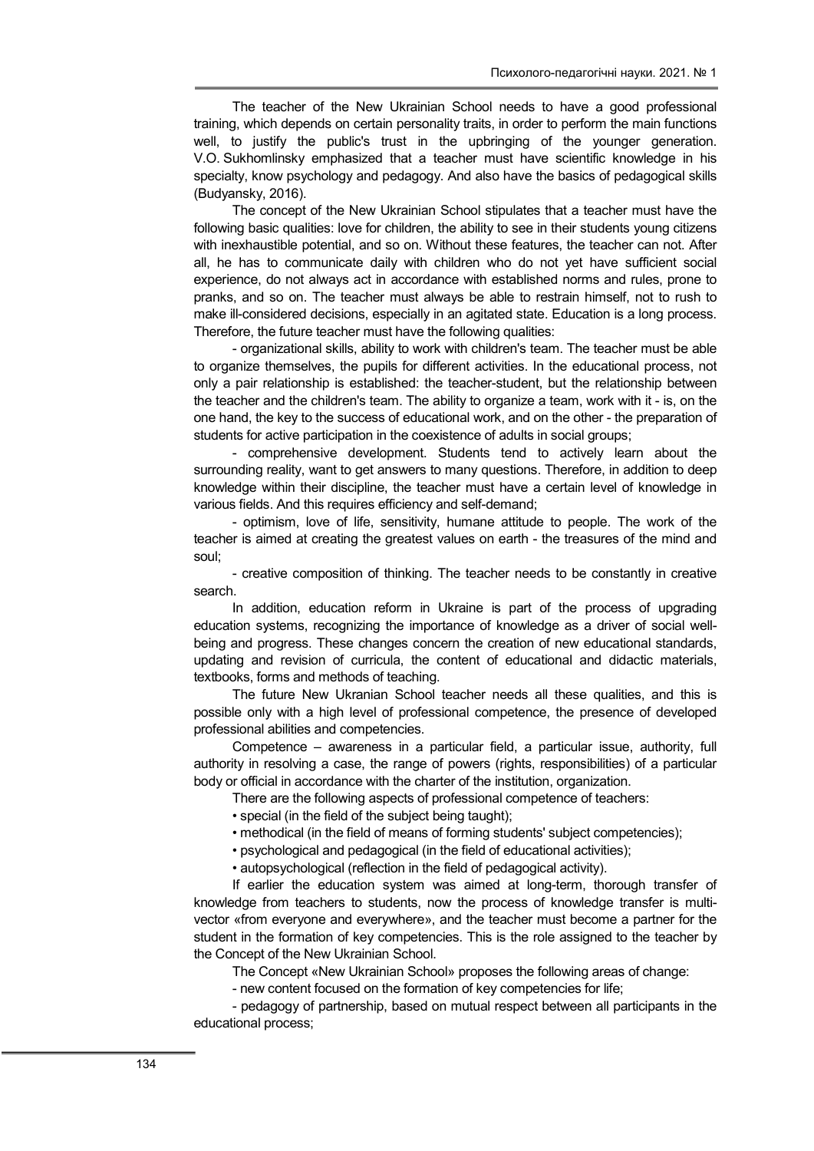The teacher of the New Ukrainian School needs to have a good professional training, which depends on certain personality traits, in order to perform the main functions well, to justify the public's trust in the upbringing of the younger generation. V.O. Sukhomlinsky emphasized that a teacher must have scientific knowledge in his specialty, know psychology and pedagogy. And also have the basics of pedagogical skills (Budyansky, 2016).

The concept of the New Ukrainian School stipulates that a teacher must have the following basic qualities: love for children, the ability to see in their students young citizens with inexhaustible potential, and so on. Without these features, the teacher can not. After all, he has to communicate daily with children who do not yet have sufficient social experience, do not always act in accordance with established norms and rules, prone to pranks, and so on. The teacher must always be able to restrain himself, not to rush to make ill-considered decisions, especially in an agitated state. Education is a long process. Therefore, the future teacher must have the following qualities:

- organizational skills, ability to work with children's team. The teacher must be able to organize themselves, the pupils for different activities. In the educational process, not only a pair relationship is established: the teacher-student, but the relationship between the teacher and the children's team. The ability to organize a team, work with it - is, on the one hand, the key to the success of educational work, and on the other - the preparation of students for active participation in the coexistence of adults in social groups;

- comprehensive development. Students tend to actively learn about the surrounding reality, want to get answers to many questions. Therefore, in addition to deep knowledge within their discipline, the teacher must have a certain level of knowledge in various fields. And this requires efficiency and self-demand;

- optimism, love of life, sensitivity, humane attitude to people. The work of the teacher is aimed at creating the greatest values on earth - the treasures of the mind and soul;

- creative composition of thinking. The teacher needs to be constantly in creative search.

In addition, education reform in Ukraine is part of the process of upgrading education systems, recognizing the importance of knowledge as a driver of social wellbeing and progress. These changes concern the creation of new educational standards, updating and revision of curricula, the content of educational and didactic materials, textbooks, forms and methods of teaching.

The future New Ukranian School teacher needs all these qualities, and this is possible only with a high level of professional competence, the presence of developed professional abilities and competencies.

Competence – awareness in a particular field, a particular issue, authority, full authority in resolving a case, the range of powers (rights, responsibilities) of a particular body or official in accordance with the charter of the institution, organization.

There are the following aspects of professional competence of teachers:

• special (in the field of the subject being taught);

• methodical (in the field of means of forming students' subject competencies);

• psychological and pedagogical (in the field of educational activities);

• autopsychological (reflection in the field of pedagogical activity).

If earlier the education system was aimed at long-term, thorough transfer of knowledge from teachers to students, now the process of knowledge transfer is multivector «from everyone and everywhere», and the teacher must become a partner for the student in the formation of key competencies. This is the role assigned to the teacher by the Concept of the New Ukrainian School.

The Concept «New Ukrainian School» proposes the following areas of change:

- new content focused on the formation of key competencies for life;

- pedagogy of partnership, based on mutual respect between all participants in the educational process;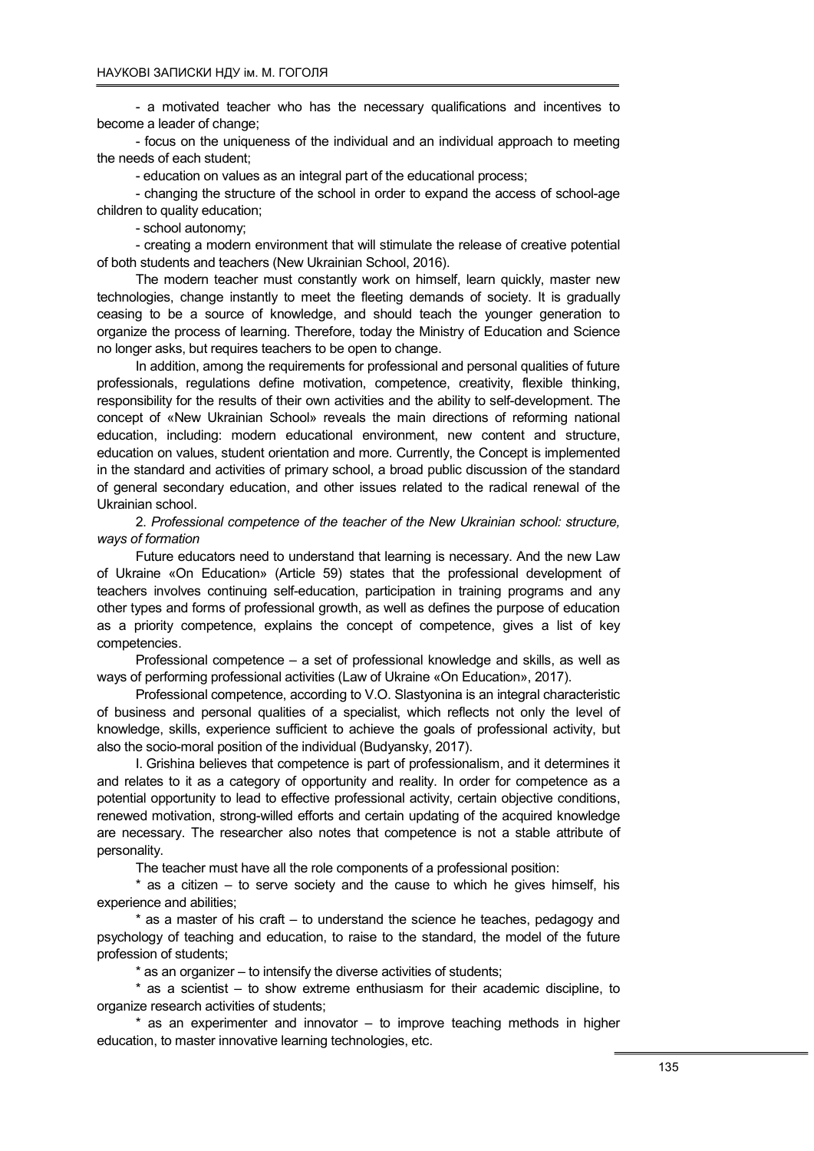- a motivated teacher who has the necessary qualifications and incentives to become a leader of change;

- focus on the uniqueness of the individual and an individual approach to meeting the needs of each student;

- education on values as an integral part of the educational process;

- changing the structure of the school in order to expand the access of school-age children to quality education;

- school autonomy;

- creating a modern environment that will stimulate the release of creative potential of both students and teachers (New Ukrainian School, 2016).

The modern teacher must constantly work on himself, learn quickly, master new technologies, change instantly to meet the fleeting demands of society. It is gradually ceasing to be a source of knowledge, and should teach the younger generation to organize the process of learning. Therefore, today the Ministry of Education and Science no longer asks, but requires teachers to be open to change.

In addition, among the requirements for professional and personal qualities of future professionals, regulations define motivation, competence, creativity, flexible thinking, responsibility for the results of their own activities and the ability to self-development. The concept of «New Ukrainian School» reveals the main directions of reforming national education, including: modern educational environment, new content and structure, education on values, student orientation and more. Currently, the Concept is implemented in the standard and activities of primary school, a broad public discussion of the standard of general secondary education, and other issues related to the radical renewal of the Ukrainian school.

2. Professional competence of the teacher of the New Ukrainian school: structure, ways of formation

Future educators need to understand that learning is necessary. And the new Law of Ukraine «On Education» (Article 59) states that the professional development of teachers involves continuing self-education, participation in training programs and any other types and forms of professional growth, as well as defines the purpose of education as a priority competence, explains the concept of competence, gives a list of key competencies.

Professional competence – a set of professional knowledge and skills, as well as ways of performing professional activities (Law of Ukraine «On Education», 2017).

Professional competence, according to V.O. Slastyonina is an integral characteristic of business and personal qualities of a specialist, which reflects not only the level of knowledge, skills, experience sufficient to achieve the goals of professional activity, but also the socio-moral position of the individual (Budyansky, 2017).

I. Grishina believes that competence is part of professionalism, and it determines it and relates to it as a category of opportunity and reality. In order for competence as a potential opportunity to lead to effective professional activity, certain objective conditions, renewed motivation, strong-willed efforts and certain updating of the acquired knowledge are necessary. The researcher also notes that competence is not a stable attribute of personality.

The teacher must have all the role components of a professional position:

 $*$  as a citizen – to serve society and the cause to which he gives himself, his experience and abilities;

\* as a master of his craft – to understand the science he teaches, pedagogy and psychology of teaching and education, to raise to the standard, the model of the future profession of students;

\* as an organizer – to intensify the diverse activities of students;

\* as a scientist – to show extreme enthusiasm for their academic discipline, to organize research activities of students;

 $*$  as an experimenter and innovator  $-$  to improve teaching methods in higher education, to master innovative learning technologies, etc.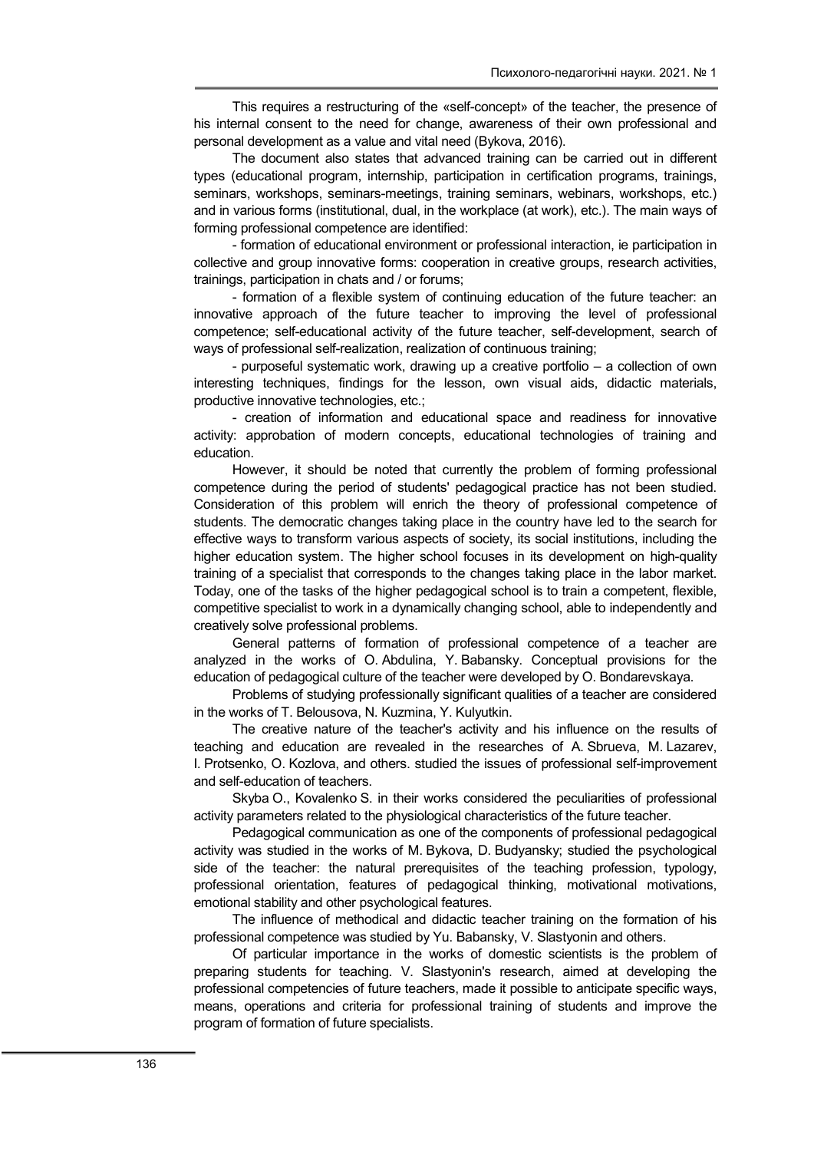This requires a restructuring of the «self-concept» of the teacher, the presence of his internal consent to the need for change, awareness of their own professional and personal development as a value and vital need (Bykova, 2016).

The document also states that advanced training can be carried out in different types (educational program, internship, participation in certification programs, trainings, seminars, workshops, seminars-meetings, training seminars, webinars, workshops, etc.) and in various forms (institutional, dual, in the workplace (at work), etc.). The main ways of forming professional competence are identified:

- formation of educational environment or professional interaction, ie participation in collective and group innovative forms: cooperation in creative groups, research activities, trainings, participation in chats and / or forums;

- formation of a flexible system of continuing education of the future teacher: an innovative approach of the future teacher to improving the level of professional competence; self-educational activity of the future teacher, self-development, search of ways of professional self-realization, realization of continuous training;

- purposeful systematic work, drawing up a creative portfolio – a collection of own interesting techniques, findings for the lesson, own visual aids, didactic materials, productive innovative technologies, etc.;

- creation of information and educational space and readiness for innovative activity: approbation of modern concepts, educational technologies of training and education.

However, it should be noted that currently the problem of forming professional competence during the period of students' pedagogical practice has not been studied. Consideration of this problem will enrich the theory of professional competence of students. The democratic changes taking place in the country have led to the search for effective ways to transform various aspects of society, its social institutions, including the higher education system. The higher school focuses in its development on high-quality training of a specialist that corresponds to the changes taking place in the labor market. Today, one of the tasks of the higher pedagogical school is to train a competent, flexible, competitive specialist to work in a dynamically changing school, able to independently and creatively solve professional problems.

General patterns of formation of professional competence of a teacher are analyzed in the works of O. Abdulina, Y. Babansky. Conceptual provisions for the education of pedagogical culture of the teacher were developed by O. Bondarevskaya.

Problems of studying professionally significant qualities of a teacher are considered in the works of T. Belousova, N. Kuzmina, Y. Kulyutkin.

The creative nature of the teacher's activity and his influence on the results of teaching and education are revealed in the researches of A. Sbrueva, M. Lazarev, I. Protsenko, O. Kozlova, and others. studied the issues of professional self-improvement and self-education of teachers.

Skyba O., Kovalenko S. in their works considered the peculiarities of professional activity parameters related to the physiological characteristics of the future teacher.

Pedagogical communication as one of the components of professional pedagogical activity was studied in the works of M. Bykovа, D. Budyansky; studied the psychological side of the teacher: the natural prerequisites of the teaching profession, typology, professional orientation, features of pedagogical thinking, motivational motivations, emotional stability and other psychological features.

The influence of methodical and didactic teacher training on the formation of his professional competence was studied by Yu. Babansky, V. Slastyonin and others.

Of particular importance in the works of domestic scientists is the problem of preparing students for teaching. V. Slastyonin's research, aimed at developing the professional competencies of future teachers, made it possible to anticipate specific ways, means, operations and criteria for professional training of students and improve the program of formation of future specialists.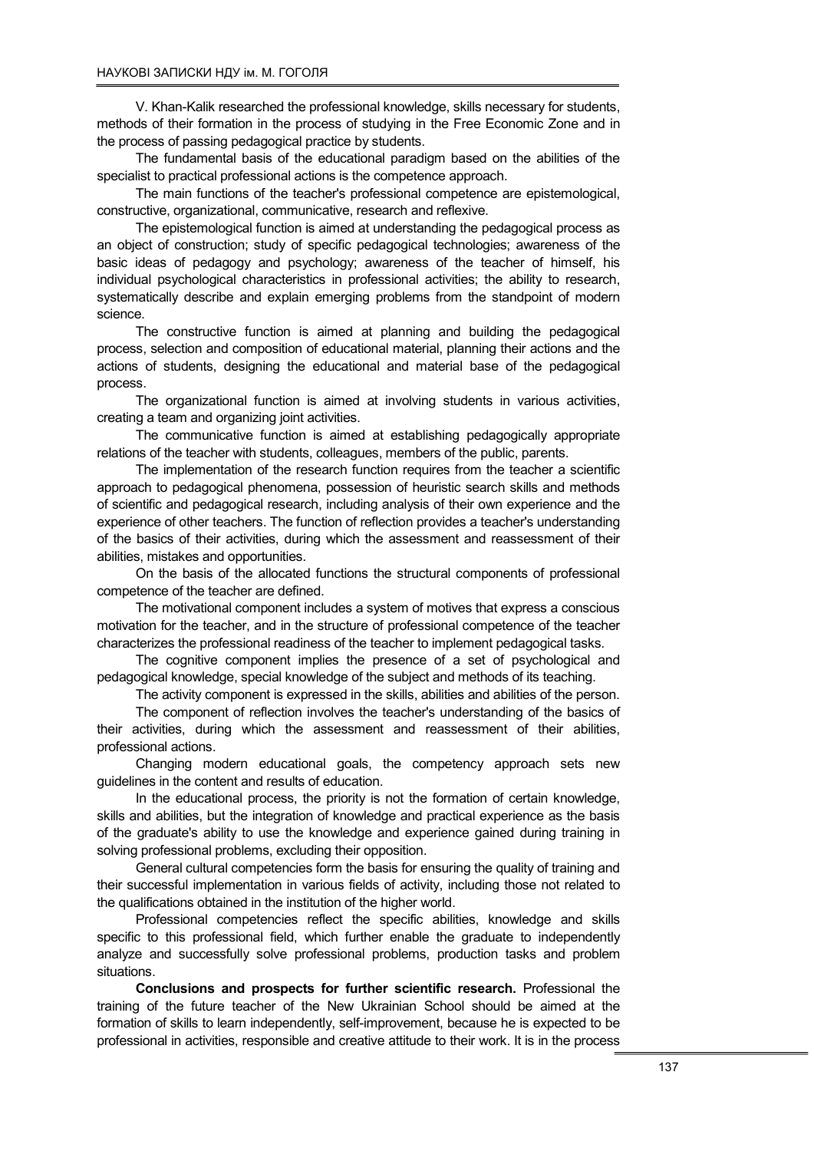V. Khan-Kalik researched the professional knowledge, skills necessary for students, methods of their formation in the process of studying in the Free Economic Zone and in the process of passing pedagogical practice by students.

The fundamental basis of the educational paradigm based on the abilities of the specialist to practical professional actions is the competence approach.

The main functions of the teacher's professional competence are epistemological, constructive, organizational, communicative, research and reflexive.

The epistemological function is aimed at understanding the pedagogical process as an object of construction; study of specific pedagogical technologies; awareness of the basic ideas of pedagogy and psychology; awareness of the teacher of himself, his individual psychological characteristics in professional activities; the ability to research, systematically describe and explain emerging problems from the standpoint of modern science.

The constructive function is aimed at planning and building the pedagogical process, selection and composition of educational material, planning their actions and the actions of students, designing the educational and material base of the pedagogical process.

The organizational function is aimed at involving students in various activities, creating a team and organizing joint activities.

The communicative function is aimed at establishing pedagogically appropriate relations of the teacher with students, colleagues, members of the public, parents.

The implementation of the research function requires from the teacher a scientific approach to pedagogical phenomena, possession of heuristic search skills and methods of scientific and pedagogical research, including analysis of their own experience and the experience of other teachers. The function of reflection provides a teacher's understanding of the basics of their activities, during which the assessment and reassessment of their abilities, mistakes and opportunities.

On the basis of the allocated functions the structural components of professional competence of the teacher are defined.

The motivational component includes a system of motives that express a conscious motivation for the teacher, and in the structure of professional competence of the teacher characterizes the professional readiness of the teacher to implement pedagogical tasks.

The cognitive component implies the presence of a set of psychological and pedagogical knowledge, special knowledge of the subject and methods of its teaching.

The activity component is expressed in the skills, abilities and abilities of the person.

The component of reflection involves the teacher's understanding of the basics of their activities, during which the assessment and reassessment of their abilities, professional actions.

Changing modern educational goals, the competency approach sets new guidelines in the content and results of education.

In the educational process, the priority is not the formation of certain knowledge, skills and abilities, but the integration of knowledge and practical experience as the basis of the graduate's ability to use the knowledge and experience gained during training in solving professional problems, excluding their opposition.

General cultural competencies form the basis for ensuring the quality of training and their successful implementation in various fields of activity, including those not related to the qualifications obtained in the institution of the higher world.

Professional competencies reflect the specific abilities, knowledge and skills specific to this professional field, which further enable the graduate to independently analyze and successfully solve professional problems, production tasks and problem situations.

Conclusions and prospects for further scientific research. Professional the training of the future teacher of the New Ukrainian School should be aimed at the formation of skills to learn independently, self-improvement, because he is expected to be professional in activities, responsible and creative attitude to their work. It is in the process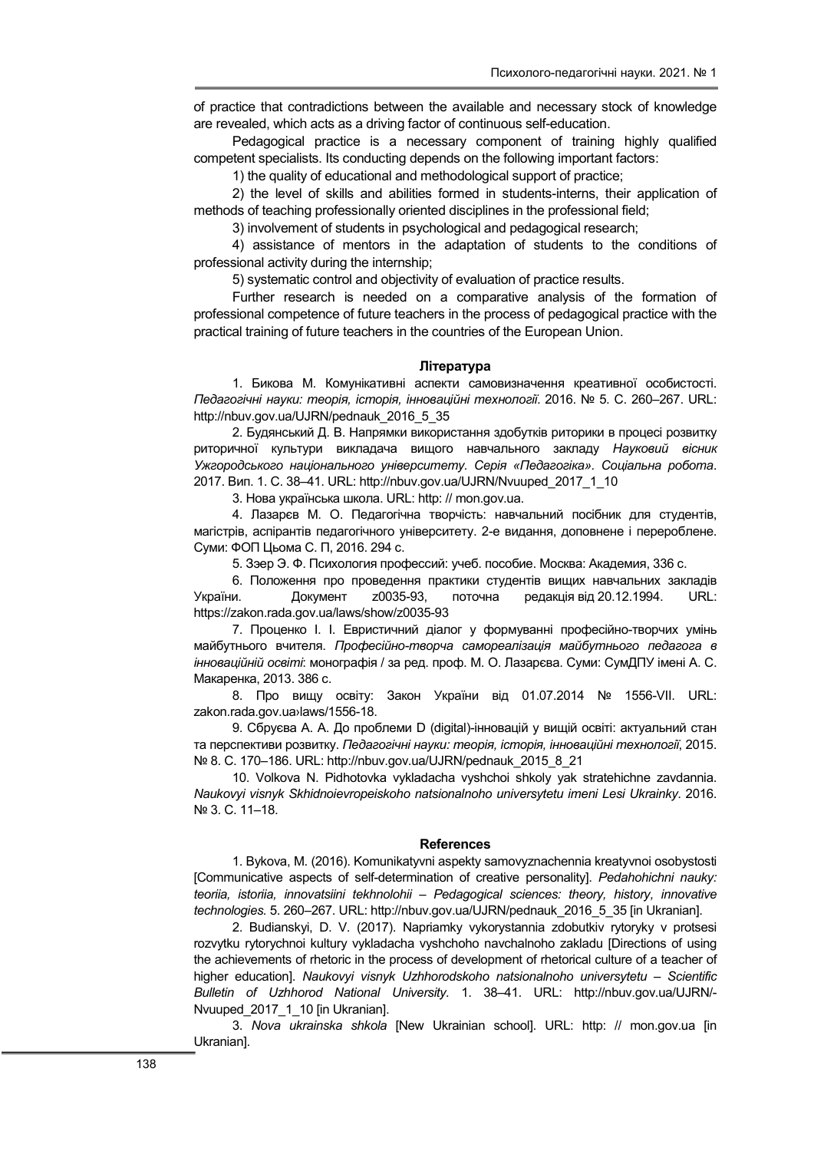of practice that contradictions between the available and necessary stock of knowledge are revealed, which acts as a driving factor of continuous self-education.

Pedagogical practice is a necessary component of training highly qualified competent specialists. Its conducting depends on the following important factors:

1) the quality of educational and methodological support of practice;

2) the level of skills and abilities formed in students-interns, their application of methods of teaching professionally oriented disciplines in the professional field;

3) involvement of students in psychological and pedagogical research;

4) assistance of mentors in the adaptation of students to the conditions of professional activity during the internship;

5) systematic control and objectivity of evaluation of practice results.

Further research is needed on a comparative analysis of the formation of professional competence of future teachers in the process of pedagogical practice with the practical training of future teachers in the countries of the European Union.

#### Література

1. Бикова М. Комунікативні аспекти самовизначення креативної особистості. Педагогічні науки: теорія, історія, інноваційні технології. 2016. № 5. С. 260–267. URL: http://nbuv.gov.ua/UJRN/pednauk\_2016\_5\_35

2. Будянський Д. В. Напрямки використання здобутків риторики в процесі розвитку риторичної культури викладача вищого навчального закладу Науковий вісник Ужгородського національного університету. Серія «Педагогіка». Соціальна робота. 2017. Вип. 1. C. 38–41. URL: http://nbuv.gov.ua/UJRN/Nvuuped\_2017\_1\_10

3. Нова українська школа. URL: http: // mon.gov.ua.

4. Лазарєв М. О. Педагогічна творчість: навчальний посібник для студентів, магістрів, аспірантів педагогічного університету. 2-е видання, доповнене і перероблене. Суми: ФОП Цьома С. П, 2016. 294 с.

5. Зэер Э. Ф. Психология профессий: учеб. пособие. Москва: Академия, 336 с.

6. Положення про проведення практики студентів вищих навчальних закладів України. Документ z0035-93, поточна редакція від 20.12.1994. URL: https://zakon.rada.gov.ua/laws/show/z0035-93

7. Проценко І. І. Евристичний діалог у формуванні професійно-творчих умінь майбутнього вчителя. Професійно-творча самореалізація майбутнього педагога в інноваційній освіті: монографія / за ред. проф. М. О. Лазарєва. Суми: СумДПУ імені А. С. Макаренка, 2013. 386 с.

8. Про вищу освіту: Закон України від 01.07.2014 № 1556-VII. URL: zakon.rada.gov.ua›laws/1556-18.

9. Сбруєва А. А. До проблеми D (digital)-інновацій у вищій освіті: актуальний стан та перспективи розвитку. Педагогічні науки: теорія, історія, інноваційні технології, 2015. № 8. С. 170–186. URL: http://nbuv.gov.ua/UJRN/pednauk\_2015\_8\_21

10. Volkova N. Pidhotovka vykladacha vyshchoi shkoly yak stratehichne zavdannia. Naukovyi visnyk Skhidnoievropeiskoho natsionalnoho universytetu imeni Lesi Ukrainky. 2016. № 3. С. 11–18.

#### References

1. Bykova, M. (2016). Komunikatyvni aspekty samovyznachennia kreatyvnoi osobystosti [Communicative aspects of self-determination of creative personality]. Pedahohichni nauky: teoriia, istoriia, innovatsiini tekhnolohii – Pedagogical sciences: theory, history, innovative technologies. 5. 260–267. URL: http://nbuv.gov.ua/UJRN/pednauk\_2016\_5\_35 [in Ukranian].

2. Budianskyi, D. V. (2017). Napriamky vykorystannia zdobutkiv rytoryky v protsesi rozvytku rytorychnoi kultury vykladacha vyshchoho navchalnoho zakladu [Directions of using the achievements of rhetoric in the process of development of rhetorical culture of a teacher of higher education]. Naukovyi visnyk Uzhhorodskoho natsionalnoho universytetu – Scientific Bulletin of Uzhhorod National University. 1. 38–41. URL: http://nbuv.gov.ua/UJRN/- Nvuuped 2017 1 10 [in Ukranian].

3. Nova ukrainska shkola [New Ukrainian school]. URL: http: // mon.gov.ua [in Ukranian].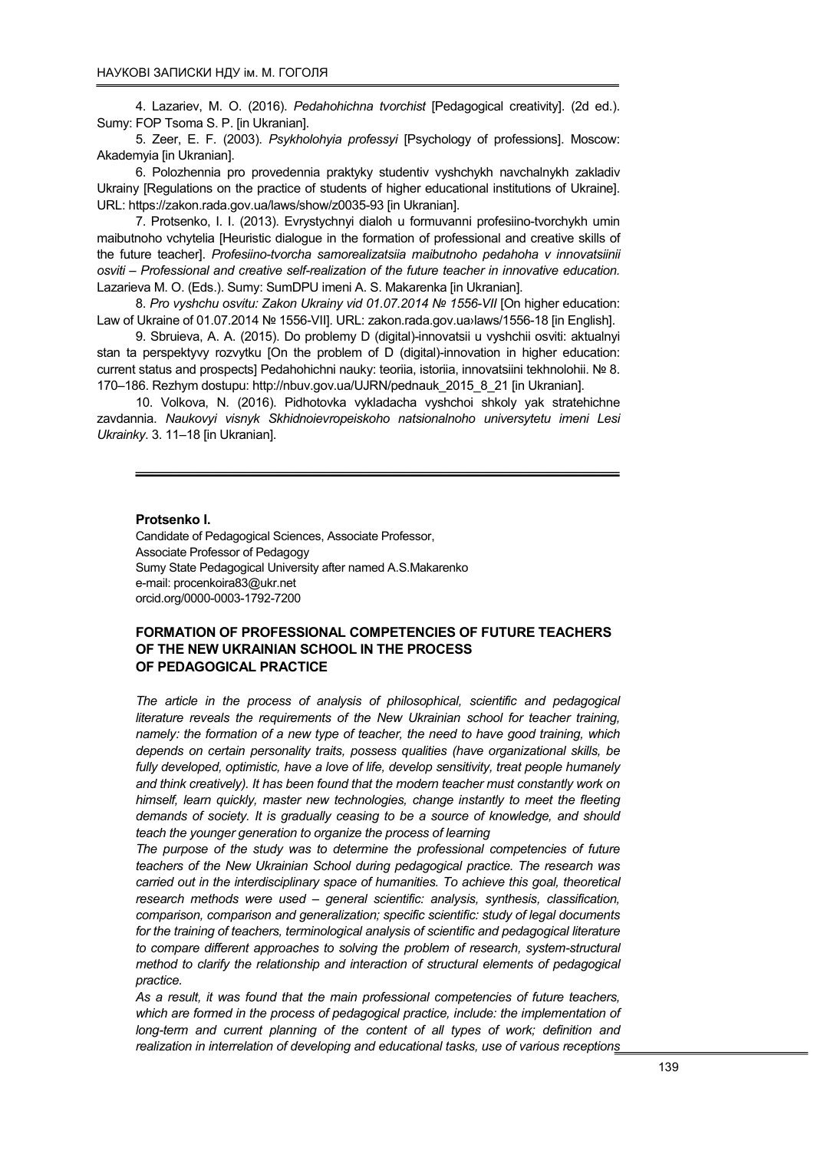4. Lazariev, M. O. (2016). Pedahohichna tvorchist [Pedagogical creativity]. (2d ed.). Sumy: FOP Tsoma S. P. [in Ukranian].

5. Zеer, Е. F. (2003). Psykholohyia professyi [Psychology of professions]. Moscow: Akademyia [in Ukranian].

6. Polozhennia pro provedennia praktyky studentiv vyshchykh navchalnykh zakladiv Ukrainy [Regulations on the practice of students of higher educational institutions of Ukraine]. URL: https://zakon.rada.gov.ua/laws/show/z0035-93 [in Ukranian].

7. Protsenko, I. I. (2013). Evrystychnyi dialoh u formuvanni profesiino-tvorchykh umin maibutnoho vchytelia [Heuristic dialogue in the formation of professional and creative skills of the future teacher]. Profesiino-tvorcha samorealizatsiia maibutnoho pedahoha v innovatsiinii osviti – Professional and creative self-realization of the future teacher in innovative education. Lazarieva M. O. (Eds.). Sumy: SumDPU imeni A. S. Makarenka [in Ukranian].

8. Pro vyshchu osvitu: Zakon Ukrainy vid 01.07.2014 № 1556-VII [On higher education: Law of Ukraine of 01.07.2014 № 1556-VII]. URL: zakon.rada.gov.ua›laws/1556-18 [in English].

9. Sbruieva, A. A. (2015). Do problemy D (digital)-innovatsii u vyshchii osviti: aktualnyi stan ta perspektyvy rozvytku [On the problem of D (digital)-innovation in higher education: current status and prospects] Pedahohichni nauky: teoriia, istoriia, innovatsiini tekhnolohii. № 8. 170–186. Rezhym dostupu: http://nbuv.gov.ua/UJRN/pednauk\_2015\_8\_21 [in Ukranian].

10. Volkova, N. (2016). Pidhotovka vykladacha vyshchoi shkoly yak stratehichne zavdannia. Naukovyi visnyk Skhidnoievropeiskoho natsionalnoho universytetu imeni Lesi Ukrainky. 3. 11–18 [in Ukranian].

### Protsenko I.

Candidate of Pedagogical Sciences, Associate Professor, Associate Professor of Pedagogy Sumy State Pedagogical University after named A.S.Makarenko e-mail: procenkoira83@ukr.net orcid.org/0000-0003-1792-7200

## FORMATION OF PROFESSIONAL COMPETENCIES OF FUTURE TEACHERS OF THE NEW UKRAINIAN SCHOOL IN THE PROCESS OF PEDAGOGICAL PRACTICE

The article in the process of analysis of philosophical, scientific and pedagogical literature reveals the requirements of the New Ukrainian school for teacher training, namely: the formation of a new type of teacher, the need to have good training, which depends on certain personality traits, possess qualities (have organizational skills, be fully developed, optimistic, have a love of life, develop sensitivity, treat people humanely and think creatively). It has been found that the modern teacher must constantly work on himself, learn quickly, master new technologies, change instantly to meet the fleeting demands of society. It is gradually ceasing to be a source of knowledge, and should teach the younger generation to organize the process of learning

The purpose of the study was to determine the professional competencies of future teachers of the New Ukrainian School during pedagogical practice. The research was carried out in the interdisciplinary space of humanities. To achieve this goal, theoretical research methods were used – general scientific: analysis, synthesis, classification, comparison, comparison and generalization; specific scientific: study of legal documents for the training of teachers, terminological analysis of scientific and pedagogical literature to compare different approaches to solving the problem of research, system-structural method to clarify the relationship and interaction of structural elements of pedagogical practice.

As a result, it was found that the main professional competencies of future teachers, which are formed in the process of pedagogical practice, include: the implementation of long-term and current planning of the content of all types of work; definition and realization in interrelation of developing and educational tasks, use of various receptions